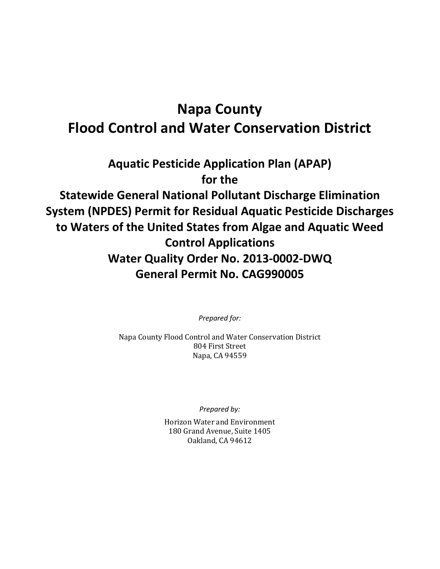# **Napa County Flood Control and Water Conservation District**

**Aquatic Pesticide Application Plan (APAP) for the Statewide General National Pollutant Discharge Elimination System (NPDES) Permit for Residual Aquatic Pesticide Discharges to Waters of the United States from Algae and Aquatic Weed Control Applications Water Quality Order No. 2013-0002-DWQ General Permit No. CAG990005**

*Prepared for:*

Napa County Flood Control and Water Conservation District 804 First Street Napa, CA 94559

*Prepared by:*

Horizon Water and Environment 180 Grand Avenue, Suite 1405 Oakland, CA 94612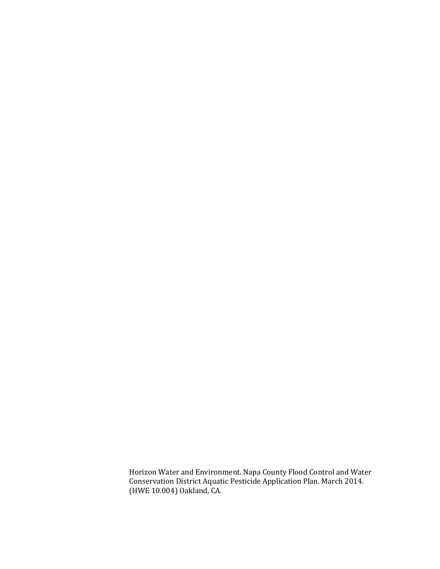Horizon Water and Environment. Napa County Flood Control and Water Conservation District Aquatic Pesticide Application Plan. March 2014. (HWE 10.004) Oakland, CA.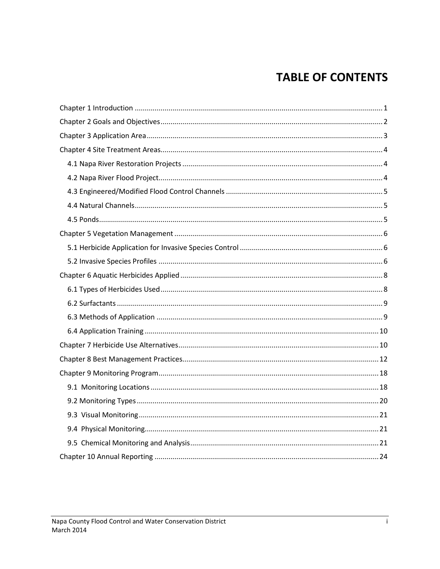## **TABLE OF CONTENTS**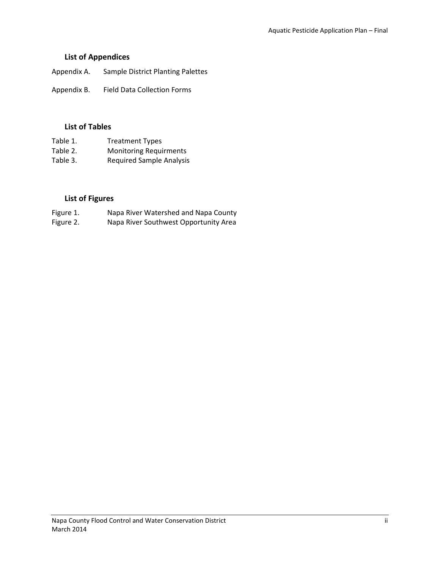#### **List of Appendices**

Appendix A. Sample District Planting Palettes

Appendix B. Field Data Collection Forms

#### **List of Tables**

| Table 1. | <b>Treatment Types</b> |
|----------|------------------------|
|----------|------------------------|

- Table 2. Monitoring Requirments
- Table 3. Required Sample Analysis

#### **List of Figures**

| Figure 1. | Napa River Watershed and Napa County  |
|-----------|---------------------------------------|
| Figure 2. | Napa River Southwest Opportunity Area |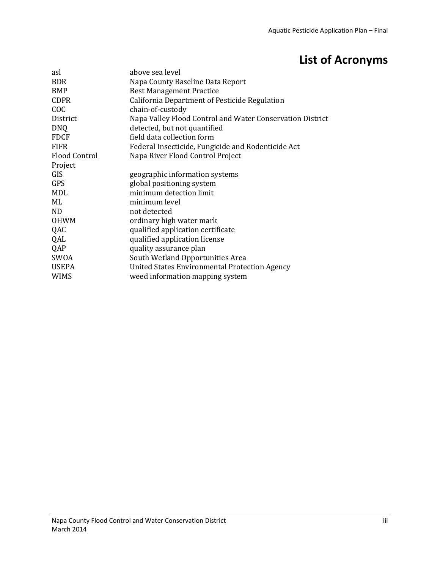## **List of Acronyms**

| asl           | above sea level                                           |
|---------------|-----------------------------------------------------------|
| <b>BDR</b>    | Napa County Baseline Data Report                          |
| <b>BMP</b>    | <b>Best Management Practice</b>                           |
| <b>CDPR</b>   | California Department of Pesticide Regulation             |
| COC           | chain-of-custody                                          |
| District      | Napa Valley Flood Control and Water Conservation District |
| <b>DNQ</b>    | detected, but not quantified                              |
| <b>FDCF</b>   | field data collection form                                |
| <b>FIFR</b>   | Federal Insecticide, Fungicide and Rodenticide Act        |
| Flood Control | Napa River Flood Control Project                          |
| Project       |                                                           |
| GIS           | geographic information systems                            |
| GPS           | global positioning system                                 |
| <b>MDL</b>    | minimum detection limit                                   |
| ML            | minimum level                                             |
| ND.           | not detected                                              |
| <b>OHWM</b>   | ordinary high water mark                                  |
| QAC           | qualified application certificate                         |
| QAL           | qualified application license                             |
| QAP           | quality assurance plan                                    |
| SWOA          | South Wetland Opportunities Area                          |
| <b>USEPA</b>  | <b>United States Environmental Protection Agency</b>      |
| <b>WIMS</b>   | weed information mapping system                           |
|               |                                                           |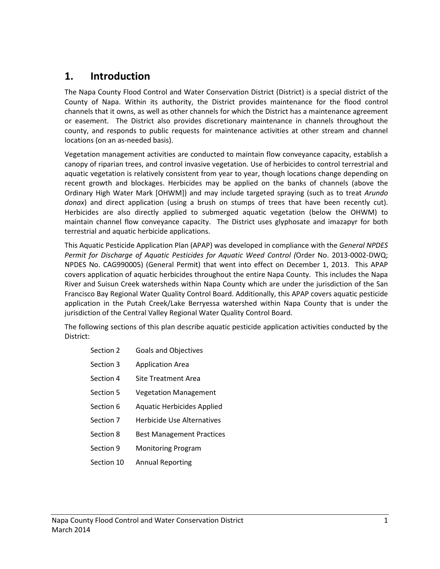## <span id="page-5-0"></span>**1. Introduction**

The Napa County Flood Control and Water Conservation District (District) is a special district of the County of Napa. Within its authority, the District provides maintenance for the flood control channels that it owns, as well as other channels for which the District has a maintenance agreement or easement. The District also provides discretionary maintenance in channels throughout the county, and responds to public requests for maintenance activities at other stream and channel locations (on an as-needed basis).

Vegetation management activities are conducted to maintain flow conveyance capacity, establish a canopy of riparian trees, and control invasive vegetation. Use of herbicides to control terrestrial and aquatic vegetation is relatively consistent from year to year, though locations change depending on recent growth and blockages. Herbicides may be applied on the banks of channels (above the Ordinary High Water Mark [OHWM]) and may include targeted spraying (such as to treat *Arundo donax*) and direct application (using a brush on stumps of trees that have been recently cut). Herbicides are also directly applied to submerged aquatic vegetation (below the OHWM) to maintain channel flow conveyance capacity. The District uses glyphosate and imazapyr for both terrestrial and aquatic herbicide applications.

This Aquatic Pesticide Application Plan (APAP) was developed in compliance with the *General NPDES Permit for Discharge of Aquatic Pesticides for Aquatic Weed Control (*Order No. 2013-0002-DWQ; NPDES No. CAG990005) (General Permit) that went into effect on December 1, 2013. This APAP covers application of aquatic herbicides throughout the entire Napa County. This includes the Napa River and Suisun Creek watersheds within Napa County which are under the jurisdiction of the San Francisco Bay Regional Water Quality Control Board. Additionally, this APAP covers aquatic pesticide application in the Putah Creek/Lake Berryessa watershed within Napa County that is under the jurisdiction of the Central Valley Regional Water Quality Control Board.

The following sections of this plan describe aquatic pesticide application activities conducted by the District:

<span id="page-5-1"></span>Section 2 Goals and Objectives Section 3 Application Area Section 4 Site Treatment Area Section 5 Vegetation Management Section 6 Aquatic Herbicides Applied Section 7 Herbicide Use Alternatives Section 8 Best Management Practices Section 9 Monitoring Program Section 10 Annual Reporting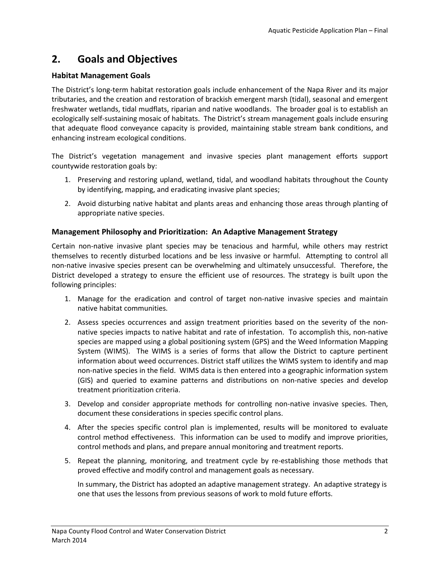## **2. Goals and Objectives**

#### **Habitat Management Goals**

The District's long-term habitat restoration goals include enhancement of the Napa River and its major tributaries, and the creation and restoration of brackish emergent marsh (tidal), seasonal and emergent freshwater wetlands, tidal mudflats, riparian and native woodlands. The broader goal is to establish an ecologically self-sustaining mosaic of habitats. The District's stream management goals include ensuring that adequate flood conveyance capacity is provided, maintaining stable stream bank conditions, and enhancing instream ecological conditions.

The District's vegetation management and invasive species plant management efforts support countywide restoration goals by:

- 1. Preserving and restoring upland, wetland, tidal, and woodland habitats throughout the County by identifying, mapping, and eradicating invasive plant species;
- 2. Avoid disturbing native habitat and plants areas and enhancing those areas through planting of appropriate native species.

#### **Management Philosophy and Prioritization: An Adaptive Management Strategy**

Certain non-native invasive plant species may be tenacious and harmful, while others may restrict themselves to recently disturbed locations and be less invasive or harmful. Attempting to control all non-native invasive species present can be overwhelming and ultimately unsuccessful. Therefore, the District developed a strategy to ensure the efficient use of resources. The strategy is built upon the following principles:

- 1. Manage for the eradication and control of target non-native invasive species and maintain native habitat communities.
- 2. Assess species occurrences and assign treatment priorities based on the severity of the nonnative species impacts to native habitat and rate of infestation. To accomplish this, non-native species are mapped using a global positioning system (GPS) and the Weed Information Mapping System (WIMS). The WIMS is a series of forms that allow the District to capture pertinent information about weed occurrences. District staff utilizes the WIMS system to identify and map non-native species in the field. WIMS data is then entered into a geographic information system (GIS) and queried to examine patterns and distributions on non-native species and develop treatment prioritization criteria.
- 3. Develop and consider appropriate methods for controlling non-native invasive species. Then, document these considerations in species specific control plans.
- 4. After the species specific control plan is implemented, results will be monitored to evaluate control method effectiveness. This information can be used to modify and improve priorities, control methods and plans, and prepare annual monitoring and treatment reports.
- 5. Repeat the planning, monitoring, and treatment cycle by re-establishing those methods that proved effective and modify control and management goals as necessary.

In summary, the District has adopted an adaptive management strategy. An adaptive strategy is one that uses the lessons from previous seasons of work to mold future efforts.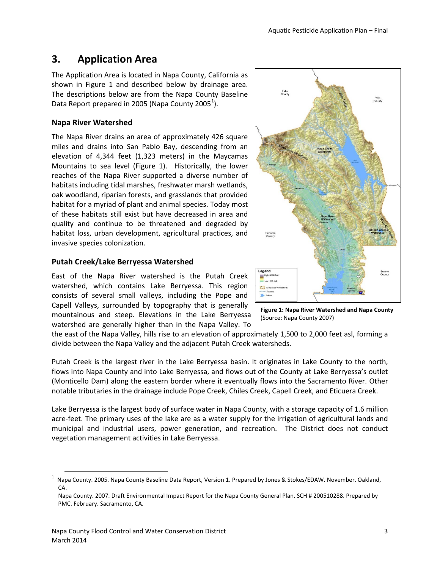## <span id="page-7-0"></span>**3. Application Area**

The Application Area is located in Napa County, California as shown in Figure 1 and described below by drainage area. The descriptions below are from the Napa County Baseline Data Report prepared in 2005 (Napa County 2005<sup>[1](#page-7-1)</sup>).

#### **Napa River Watershed**

The Napa River drains an area of approximately 426 square miles and drains into San Pablo Bay, descending from an elevation of 4,344 feet (1,323 meters) in the Maycamas Mountains to sea level (Figure 1). Historically, the lower reaches of the Napa River supported a diverse number of habitats including tidal marshes, freshwater marsh wetlands, oak woodland, riparian forests, and grasslands that provided habitat for a myriad of plant and animal species. Today most of these habitats still exist but have decreased in area and quality and continue to be threatened and degraded by habitat loss, urban development, agricultural practices, and invasive species colonization.

#### **Putah Creek/Lake Berryessa Watershed**

East of the Napa River watershed is the Putah Creek watershed, which contains Lake Berryessa. This region consists of several small valleys, including the Pope and Capell Valleys, surrounded by topography that is generally mountainous and steep. Elevations in the Lake Berryessa watershed are generally higher than in the Napa Valley. To



**Figure 1: Napa River Watershed and Napa County** (Source: Napa County 2007)

the east of the Napa Valley, hills rise to an elevation of approximately 1,500 to 2,000 feet asl, forming a divide between the Napa Valley and the adjacent Putah Creek watersheds.

Putah Creek is the largest river in the Lake Berryessa basin. It originates in Lake County to the north, flows into Napa County and into Lake Berryessa, and flows out of the County at Lake Berryessa's outlet (Monticello Dam) along the eastern border where it eventually flows into the Sacramento River. Other notable tributaries in the drainage include Pope Creek, Chiles Creek, Capell Creek, and Eticuera Creek.

Lake Berryessa is the largest body of surface water in Napa County, with a storage capacity of 1.6 million acre-feet. The primary uses of the lake are as a water supply for the irrigation of agricultural lands and municipal and industrial users, power generation, and recreation. The District does not conduct vegetation management activities in Lake Berryessa.

 $\overline{\phantom{a}}$ 

<span id="page-7-1"></span><sup>1</sup> Napa County. 2005. Napa County Baseline Data Report, Version 1. Prepared by Jones & Stokes/EDAW. November. Oakland, CA.

Napa County. 2007. Draft Environmental Impact Report for the Napa County General Plan. SCH # 200510288. Prepared by PMC. February. Sacramento, CA.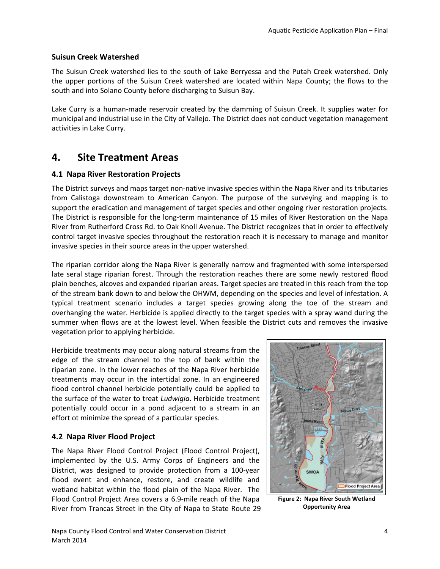#### **Suisun Creek Watershed**

The Suisun Creek watershed lies to the south of Lake Berryessa and the Putah Creek watershed. Only the upper portions of the Suisun Creek watershed are located within Napa County; the flows to the south and into Solano County before discharging to Suisun Bay.

Lake Curry is a human-made reservoir created by the damming of Suisun Creek. It supplies water for municipal and industrial use in the City of Vallejo. The District does not conduct vegetation management activities in Lake Curry.

## <span id="page-8-0"></span>**4. Site Treatment Areas**

#### <span id="page-8-1"></span>**4.1 Napa River Restoration Projects**

The District surveys and maps target non-native invasive species within the Napa River and its tributaries from Calistoga downstream to American Canyon. The purpose of the surveying and mapping is to support the eradication and management of target species and other ongoing river restoration projects. The District is responsible for the long-term maintenance of 15 miles of River Restoration on the Napa River from Rutherford Cross Rd. to Oak Knoll Avenue. The District recognizes that in order to effectively control target invasive species throughout the restoration reach it is necessary to manage and monitor invasive species in their source areas in the upper watershed.

The riparian corridor along the Napa River is generally narrow and fragmented with some interspersed late seral stage riparian forest. Through the restoration reaches there are some newly restored flood plain benches, alcoves and expanded riparian areas. Target species are treated in this reach from the top of the stream bank down to and below the OHWM, depending on the species and level of infestation. A typical treatment scenario includes a target species growing along the toe of the stream and overhanging the water. Herbicide is applied directly to the target species with a spray wand during the summer when flows are at the lowest level. When feasible the District cuts and removes the invasive vegetation prior to applying herbicide.

Herbicide treatments may occur along natural streams from the edge of the stream channel to the top of bank within the riparian zone. In the lower reaches of the Napa River herbicide treatments may occur in the intertidal zone. In an engineered flood control channel herbicide potentially could be applied to the surface of the water to treat *Ludwigia*. Herbicide treatment potentially could occur in a pond adjacent to a stream in an effort ot minimize the spread of a particular species.

#### <span id="page-8-2"></span>**4.2 Napa River Flood Project**

The Napa River Flood Control Project (Flood Control Project), implemented by the U.S. Army Corps of Engineers and the District, was designed to provide protection from a 100-year flood event and enhance, restore, and create wildlife and wetland habitat within the flood plain of the Napa River. The Flood Control Project Area covers a 6.9-mile reach of the Napa River from Trancas Street in the City of Napa to State Route 29



**Figure 2: Napa River South Wetland Opportunity Area**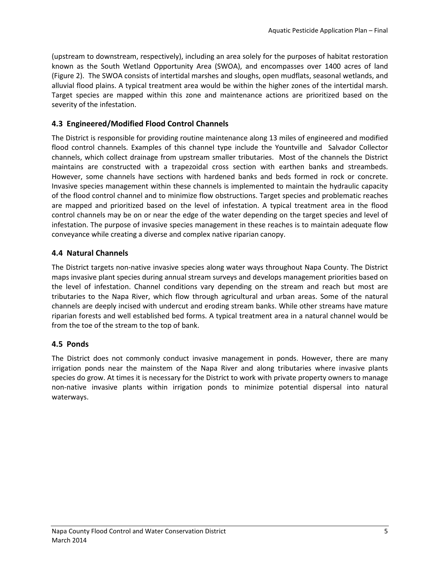(upstream to downstream, respectively), including an area solely for the purposes of habitat restoration known as the South Wetland Opportunity Area (SWOA), and encompasses over 1400 acres of land (Figure 2). The SWOA consists of intertidal marshes and sloughs, open mudflats, seasonal wetlands, and alluvial flood plains. A typical treatment area would be within the higher zones of the intertidal marsh. Target species are mapped within this zone and maintenance actions are prioritized based on the severity of the infestation.

#### <span id="page-9-0"></span>**4.3 Engineered/Modified Flood Control Channels**

The District is responsible for providing routine maintenance along 13 miles of engineered and modified flood control channels. Examples of this channel type include the Yountville and Salvador Collector channels, which collect drainage from upstream smaller tributaries. Most of the channels the District maintains are constructed with a trapezoidal cross section with earthen banks and streambeds. However, some channels have sections with hardened banks and beds formed in rock or concrete. Invasive species management within these channels is implemented to maintain the hydraulic capacity of the flood control channel and to minimize flow obstructions. Target species and problematic reaches are mapped and prioritized based on the level of infestation. A typical treatment area in the flood control channels may be on or near the edge of the water depending on the target species and level of infestation. The purpose of invasive species management in these reaches is to maintain adequate flow conveyance while creating a diverse and complex native riparian canopy.

#### <span id="page-9-1"></span>**4.4 Natural Channels**

The District targets non-native invasive species along water ways throughout Napa County. The District maps invasive plant species during annual stream surveys and develops management priorities based on the level of infestation. Channel conditions vary depending on the stream and reach but most are tributaries to the Napa River, which flow through agricultural and urban areas. Some of the natural channels are deeply incised with undercut and eroding stream banks. While other streams have mature riparian forests and well established bed forms. A typical treatment area in a natural channel would be from the toe of the stream to the top of bank.

#### <span id="page-9-2"></span>**4.5 Ponds**

<span id="page-9-3"></span>The District does not commonly conduct invasive management in ponds. However, there are many irrigation ponds near the mainstem of the Napa River and along tributaries where invasive plants species do grow. At times it is necessary for the District to work with private property owners to manage non-native invasive plants within irrigation ponds to minimize potential dispersal into natural waterways.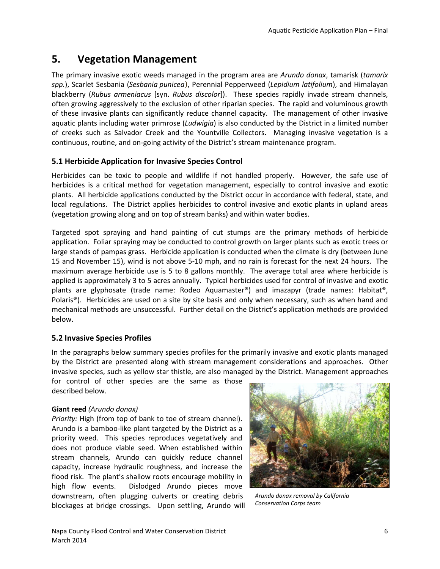## **5. Vegetation Management**

The primary invasive exotic weeds managed in the program area are *Arundo donax*, tamarisk (*tamarix spp.*), Scarlet Sesbania (*Sesbania punicea*), Perennial Pepperweed (*Lepidium latifolium*), and Himalayan blackberry (*Rubus armeniacus* [syn. *Rubus discolor*]). These species rapidly invade stream channels, often growing aggressively to the exclusion of other riparian species. The rapid and voluminous growth of these invasive plants can significantly reduce channel capacity. The management of other invasive aquatic plants including water primrose (*Ludwigia*) is also conducted by the District in a limited number of creeks such as Salvador Creek and the Yountville Collectors. Managing invasive vegetation is a continuous, routine, and on-going activity of the District's stream maintenance program.

#### <span id="page-10-0"></span>**5.1 Herbicide Application for Invasive Species Control**

Herbicides can be toxic to people and wildlife if not handled properly. However, the safe use of herbicides is a critical method for vegetation management, especially to control invasive and exotic plants. All herbicide applications conducted by the District occur in accordance with federal, state, and local regulations. The District applies herbicides to control invasive and exotic plants in upland areas (vegetation growing along and on top of stream banks) and within water bodies.

Targeted spot spraying and hand painting of cut stumps are the primary methods of herbicide application. Foliar spraying may be conducted to control growth on larger plants such as exotic trees or large stands of pampas grass. Herbicide application is conducted when the climate is dry (between June 15 and November 15), wind is not above 5-10 mph, and no rain is forecast for the next 24 hours. The maximum average herbicide use is 5 to 8 gallons monthly. The average total area where herbicide is applied is approximately 3 to 5 acres annually. Typical herbicides used for control of invasive and exotic plants are glyphosate (trade name: Rodeo Aquamaster®) and imazapyr (trade names: Habitat®, Polaris®). Herbicides are used on a site by site basis and only when necessary, such as when hand and mechanical methods are unsuccessful. Further detail on the District's application methods are provided below.

#### <span id="page-10-1"></span>**5.2 Invasive Species Profiles**

In the paragraphs below summary species profiles for the primarily invasive and exotic plants managed by the District are presented along with stream management considerations and approaches. Other invasive species, such as yellow star thistle, are also managed by the District. Management approaches

for control of other species are the same as those described below.

#### **Giant reed** *(Arundo donax)*

*Priority:* High (from top of bank to toe of stream channel). Arundo is a bamboo-like plant targeted by the District as a priority weed. This species reproduces vegetatively and does not produce viable seed. When established within stream channels, Arundo can quickly reduce channel capacity, increase hydraulic roughness, and increase the flood risk. The plant's shallow roots encourage mobility in high flow events. Dislodged Arundo pieces move downstream, often plugging culverts or creating debris blockages at bridge crossings. Upon settling, Arundo will



*Arundo donax removal by California Conservation Corps team*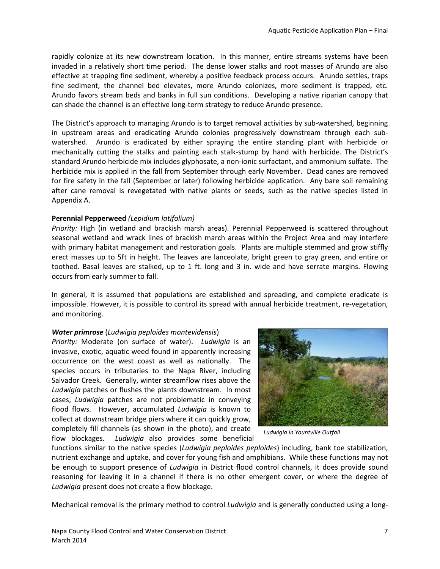rapidly colonize at its new downstream location. In this manner, entire streams systems have been invaded in a relatively short time period. The dense lower stalks and root masses of Arundo are also effective at trapping fine sediment, whereby a positive feedback process occurs. Arundo settles, traps fine sediment, the channel bed elevates, more Arundo colonizes, more sediment is trapped, etc. Arundo favors stream beds and banks in full sun conditions. Developing a native riparian canopy that can shade the channel is an effective long-term strategy to reduce Arundo presence.

The District's approach to managing Arundo is to target removal activities by sub-watershed, beginning in upstream areas and eradicating Arundo colonies progressively downstream through each subwatershed. Arundo is eradicated by either spraying the entire standing plant with herbicide or mechanically cutting the stalks and painting each stalk-stump by hand with herbicide. The District's standard Arundo herbicide mix includes glyphosate, a non-ionic surfactant, and ammonium sulfate. The herbicide mix is applied in the fall from September through early November. Dead canes are removed for fire safety in the fall (September or later) following herbicide application. Any bare soil remaining after cane removal is revegetated with native plants or seeds, such as the native species listed in Appendix A.

#### **Perennial Pepperweed** *(Lepidium latifolium)*

*Priority:* High (in wetland and brackish marsh areas). Perennial Pepperweed is scattered throughout seasonal wetland and wrack lines of brackish march areas within the Project Area and may interfere with primary habitat management and restoration goals. Plants are multiple stemmed and grow stiffly erect masses up to 5ft in height. The leaves are lanceolate, bright green to gray green, and entire or toothed. Basal leaves are stalked, up to 1 ft. long and 3 in. wide and have serrate margins. Flowing occurs from early summer to fall.

In general, it is assumed that populations are established and spreading, and complete eradicate is impossible. However, it is possible to control its spread with annual herbicide treatment, re-vegetation, and monitoring.

#### *Water primrose* (*Ludwigia peploides montevidensis*)

*Priority:* Moderate (on surface of water). *Ludwigia* is an invasive, exotic, aquatic weed found in apparently increasing occurrence on the west coast as well as nationally. The species occurs in tributaries to the Napa River, including Salvador Creek. Generally, winter streamflow rises above the *Ludwigia* patches or flushes the plants downstream. In most cases, *Ludwigia* patches are not problematic in conveying flood flows. However, accumulated *Ludwigia* is known to collect at downstream bridge piers where it can quickly grow, completely fill channels (as shown in the photo), and create flow blockages. *Ludwigia* also provides some beneficial



*Ludwigia in Yountville Outfall*

functions similar to the native species (*Ludwigia peploides peploides*) including, bank toe stabilization, nutrient exchange and uptake, and cover for young fish and amphibians. While these functions may not be enough to support presence of *Ludwigia* in District flood control channels, it does provide sound reasoning for leaving it in a channel if there is no other emergent cover, or where the degree of *Ludwigia* present does not create a flow blockage.

Mechanical removal is the primary method to control *Ludwigia* and is generally conducted using a long-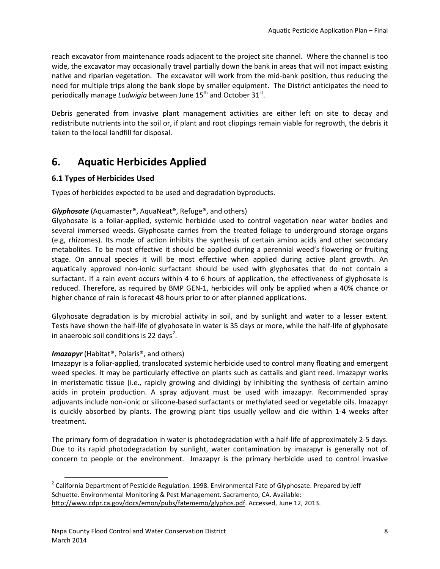reach excavator from maintenance roads adjacent to the project site channel. Where the channel is too wide, the excavator may occasionally travel partially down the bank in areas that will not impact existing native and riparian vegetation. The excavator will work from the mid-bank position, thus reducing the need for multiple trips along the bank slope by smaller equipment. The District anticipates the need to periodically manage *Ludwigia* between June 15<sup>th</sup> and October 31<sup>st</sup>.

Debris generated from invasive plant management activities are either left on site to decay and redistribute nutrients into the soil or, if plant and root clippings remain viable for regrowth, the debris it taken to the local landfill for disposal.

## <span id="page-12-0"></span>**6. Aquatic Herbicides Applied**

#### **6.1 Types of Herbicides Used**

Types of herbicides expected to be used and degradation byproducts.

#### *Glyphosate* (Aquamaster®, AquaNeat®, Refuge®, and others)

Glyphosate is a foliar-applied, systemic herbicide used to control vegetation near water bodies and several immersed weeds. Glyphosate carries from the treated foliage to underground storage organs (e.g, rhizomes). Its mode of action inhibits the synthesis of certain amino acids and other secondary metabolites. To be most effective it should be applied during a perennial weed's flowering or fruiting stage. On annual species it will be most effective when applied during active plant growth. An aquatically approved non-ionic surfactant should be used with glyphosates that do not contain a surfactant. If a rain event occurs within 4 to 6 hours of application, the effectiveness of glyphosate is reduced. Therefore, as required by BMP GEN-1, herbicides will only be applied when a 40% chance or higher chance of rain is forecast 48 hours prior to or after planned applications.

Glyphosate degradation is by microbial activity in soil, and by sunlight and water to a lesser extent. Tests have shown the half-life of glyphosate in water is 35 days or more, while the half-life of glyphosate in anaerobic soil conditions is [2](#page-12-1)2 days<sup>2</sup>.

#### *Imazapyr* (Habitat®, Polaris®, and others)

l

Imazapyr is a foliar-applied, translocated systemic herbicide used to control many floating and emergent weed species. It may be particularly effective on plants such as cattails and giant reed. Imazapyr works in meristematic tissue (i.e., rapidly growing and dividing) by inhibiting the synthesis of certain amino acids in protein production. A spray adjuvant must be used with imazapyr. Recommended spray adjuvants include non-ionic or silicone-based surfactants or methylated seed or vegetable oils. Imazapyr is quickly absorbed by plants. The growing plant tips usually yellow and die within 1-4 weeks after treatment.

The primary form of degradation in water is photodegradation with a half-life of approximately 2-5 days. Due to its rapid photodegradation by sunlight, water contamination by imazapyr is generally not of concern to people or the environment. Imazapyr is the primary herbicide used to control invasive

<span id="page-12-1"></span><sup>&</sup>lt;sup>2</sup> California Department of Pesticide Regulation. 1998. Environmental Fate of Glyphosate. Prepared by Jeff Schuette. Environmental Monitoring & Pest Management. Sacramento, CA. Available: [http://www.cdpr.ca.gov/docs/emon/pubs/fatememo/glyphos.pdf.](http://www.cdpr.ca.gov/docs/emon/pubs/fatememo/glyphos.pdf) Accessed, June 12, 2013.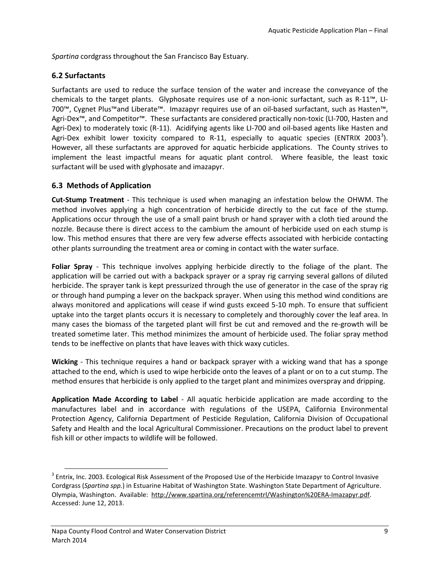*Spartina* cordgrass throughout the San Francisco Bay Estuary.

#### <span id="page-13-0"></span>**6.2 Surfactants**

Surfactants are used to reduce the surface tension of the water and increase the conveyance of the chemicals to the target plants. Glyphosate requires use of a non-ionic surfactant, such as R-11™, LI-700™, Cygnet Plus™and Liberate™. Imazapyr requires use of an oil-based surfactant, such as Hasten™, Agri-Dex<sup>™</sup>, and Competitor<sup>™</sup>. These surfactants are considered practically non-toxic (LI-700, Hasten and Agri-Dex) to moderately toxic (R-11). Acidifying agents like LI-700 and oil-based agents like Hasten and Agri-Dex exhibit lower toxicity compared to R-11, especially to aquatic species (ENTRIX 200[3](#page-13-2)<sup>3</sup>). However, all these surfactants are approved for aquatic herbicide applications. The County strives to implement the least impactful means for aquatic plant control. Where feasible, the least toxic surfactant will be used with glyphosate and imazapyr.

#### <span id="page-13-1"></span>**6.3 Methods of Application**

**Cut-Stump Treatment** - This technique is used when managing an infestation below the OHWM. The method involves applying a high concentration of herbicide directly to the cut face of the stump. Applications occur through the use of a small paint brush or hand sprayer with a cloth tied around the nozzle. Because there is direct access to the cambium the amount of herbicide used on each stump is low. This method ensures that there are very few adverse effects associated with herbicide contacting other plants surrounding the treatment area or coming in contact with the water surface.

**Foliar Spray** - This technique involves applying herbicide directly to the foliage of the plant. The application will be carried out with a backpack sprayer or a spray rig carrying several gallons of diluted herbicide. The sprayer tank is kept pressurized through the use of generator in the case of the spray rig or through hand pumping a lever on the backpack sprayer. When using this method wind conditions are always monitored and applications will cease if wind gusts exceed 5-10 mph. To ensure that sufficient uptake into the target plants occurs it is necessary to completely and thoroughly cover the leaf area. In many cases the biomass of the targeted plant will first be cut and removed and the re-growth will be treated sometime later. This method minimizes the amount of herbicide used. The foliar spray method tends to be ineffective on plants that have leaves with thick waxy cuticles.

**Wicking** - This technique requires a hand or backpack sprayer with a wicking wand that has a sponge attached to the end, which is used to wipe herbicide onto the leaves of a plant or on to a cut stump. The method ensures that herbicide is only applied to the target plant and minimizes overspray and dripping.

**Application Made According to Label** - All aquatic herbicide application are made according to the manufactures label and in accordance with regulations of the USEPA, California Environmental Protection Agency, California Department of Pesticide Regulation, California Division of Occupational Safety and Health and the local Agricultural Commissioner. Precautions on the product label to prevent fish kill or other impacts to wildlife will be followed.

 $\overline{\phantom{a}}$ 

<span id="page-13-2"></span> $3$  Entrix, Inc. 2003. Ecological Risk Assessment of the Proposed Use of the Herbicide Imazapyr to Control Invasive Cordgrass (*Spartina spp.*) in Estuarine Habitat of Washington State. Washington State Department of Agriculture. Olympia, Washington. Available: [http://www.spartina.org/referencemtrl/Washington%20ERA-Imazapyr.pdf.](http://www.spartina.org/referencemtrl/Washington%20ERA-Imazapyr.pdf) Accessed: June 12, 2013.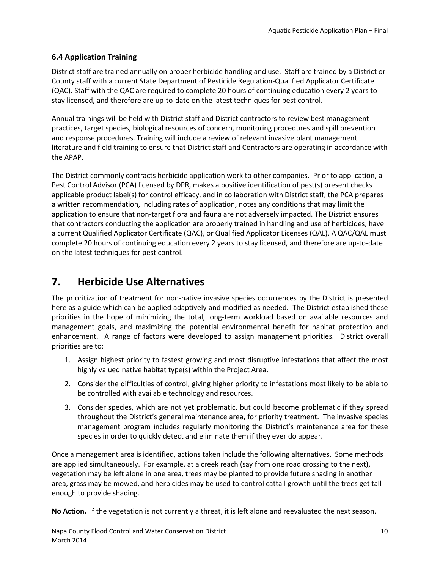#### <span id="page-14-0"></span>**6.4 Application Training**

District staff are trained annually on proper herbicide handling and use. Staff are trained by a District or County staff with a current State Department of Pesticide Regulation-Qualified Applicator Certificate (QAC). Staff with the QAC are required to complete 20 hours of continuing education every 2 years to stay licensed, and therefore are up-to-date on the latest techniques for pest control.

Annual trainings will be held with District staff and District contractors to review best management practices, target species, biological resources of concern, monitoring procedures and spill prevention and response procedures. Training will include a review of relevant invasive plant management literature and field training to ensure that District staff and Contractors are operating in accordance with the APAP.

The District commonly contracts herbicide application work to other companies. Prior to application, a Pest Control Advisor (PCA) licensed by DPR, makes a positive identification of pest(s) present checks applicable product label(s) for control efficacy, and in collaboration with District staff, the PCA prepares a written recommendation, including rates of application, notes any conditions that may limit the application to ensure that non-target flora and fauna are not adversely impacted. The District ensures that contractors conducting the application are properly trained in handling and use of herbicides, have a current Qualified Applicator Certificate (QAC), or Qualified Applicator Licenses (QAL). A QAC/QAL must complete 20 hours of continuing education every 2 years to stay licensed, and therefore are up-to-date on the latest techniques for pest control.

## <span id="page-14-1"></span>**7. Herbicide Use Alternatives**

The prioritization of treatment for non-native invasive species occurrences by the District is presented here as a guide which can be applied adaptively and modified as needed. The District established these priorities in the hope of minimizing the total, long-term workload based on available resources and management goals, and maximizing the potential environmental benefit for habitat protection and enhancement. A range of factors were developed to assign management priorities. District overall priorities are to:

- 1. Assign highest priority to fastest growing and most disruptive infestations that affect the most highly valued native habitat type(s) within the Project Area.
- 2. Consider the difficulties of control, giving higher priority to infestations most likely to be able to be controlled with available technology and resources.
- 3. Consider species, which are not yet problematic, but could become problematic if they spread throughout the District's general maintenance area, for priority treatment. The invasive species management program includes regularly monitoring the District's maintenance area for these species in order to quickly detect and eliminate them if they ever do appear.

Once a management area is identified, actions taken include the following alternatives. Some methods are applied simultaneously. For example, at a creek reach (say from one road crossing to the next), vegetation may be left alone in one area, trees may be planted to provide future shading in another area, grass may be mowed, and herbicides may be used to control cattail growth until the trees get tall enough to provide shading.

**No Action.** If the vegetation is not currently a threat, it is left alone and reevaluated the next season.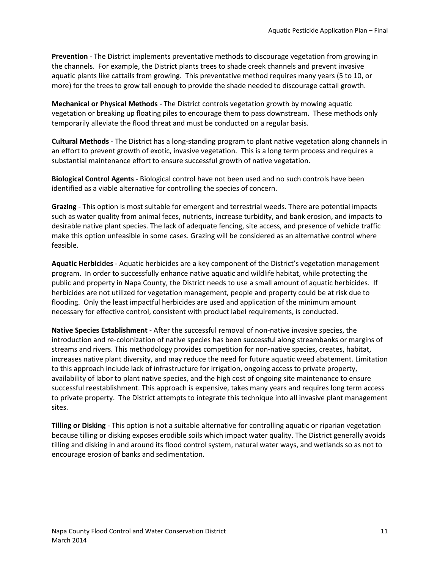**Prevention** - The District implements preventative methods to discourage vegetation from growing in the channels. For example, the District plants trees to shade creek channels and prevent invasive aquatic plants like cattails from growing. This preventative method requires many years (5 to 10, or more) for the trees to grow tall enough to provide the shade needed to discourage cattail growth.

**Mechanical or Physical Methods** - The District controls vegetation growth by mowing aquatic vegetation or breaking up floating piles to encourage them to pass downstream. These methods only temporarily alleviate the flood threat and must be conducted on a regular basis.

**Cultural Methods** - The District has a long-standing program to plant native vegetation along channels in an effort to prevent growth of exotic, invasive vegetation. This is a long term process and requires a substantial maintenance effort to ensure successful growth of native vegetation.

**Biological Control Agents** - Biological control have not been used and no such controls have been identified as a viable alternative for controlling the species of concern.

**Grazing** - This option is most suitable for emergent and terrestrial weeds. There are potential impacts such as water quality from animal feces, nutrients, increase turbidity, and bank erosion, and impacts to desirable native plant species. The lack of adequate fencing, site access, and presence of vehicle traffic make this option unfeasible in some cases. Grazing will be considered as an alternative control where feasible.

**Aquatic Herbicides** - Aquatic herbicides are a key component of the District's vegetation management program. In order to successfully enhance native aquatic and wildlife habitat, while protecting the public and property in Napa County, the District needs to use a small amount of aquatic herbicides. If herbicides are not utilized for vegetation management, people and property could be at risk due to flooding. Only the least impactful herbicides are used and application of the minimum amount necessary for effective control, consistent with product label requirements, is conducted.

**Native Species Establishment** - After the successful removal of non-native invasive species, the introduction and re-colonization of native species has been successful along streambanks or margins of streams and rivers. This methodology provides competition for non-native species, creates, habitat, increases native plant diversity, and may reduce the need for future aquatic weed abatement. Limitation to this approach include lack of infrastructure for irrigation, ongoing access to private property, availability of labor to plant native species, and the high cost of ongoing site maintenance to ensure successful reestablishment. This approach is expensive, takes many years and requires long term access to private property. The District attempts to integrate this technique into all invasive plant management sites.

<span id="page-15-0"></span>**Tilling or Disking** - This option is not a suitable alternative for controlling aquatic or riparian vegetation because tilling or disking exposes erodible soils which impact water quality. The District generally avoids tilling and disking in and around its flood control system, natural water ways, and wetlands so as not to encourage erosion of banks and sedimentation.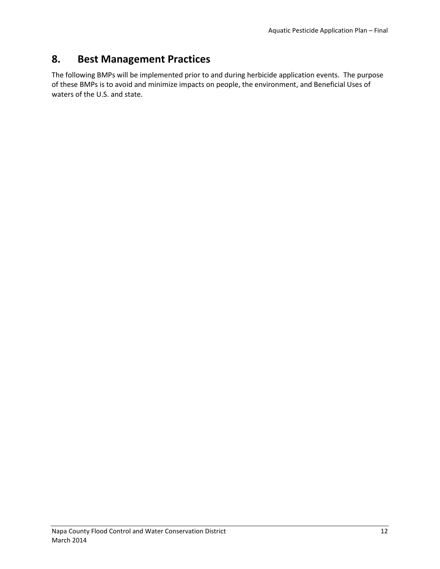## **8. Best Management Practices**

The following BMPs will be implemented prior to and during herbicide application events. The purpose of these BMPs is to avoid and minimize impacts on people, the environment, and Beneficial Uses of waters of the U.S. and state.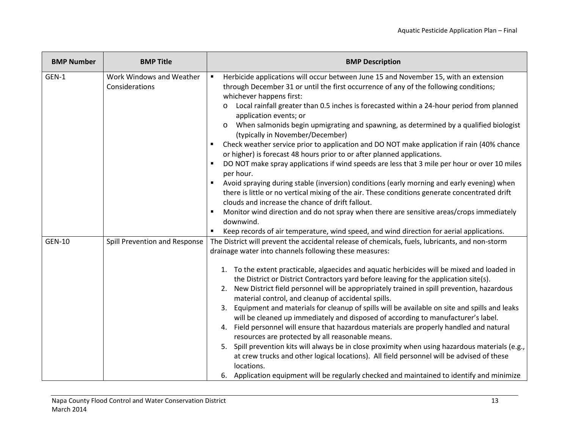| <b>BMP Number</b> | <b>BMP Title</b>                           | <b>BMP Description</b>                                                                                                                                                                                                                                                                                                                                                                                                                                                                                                                                                                                                                                                                                                                                                                                                                                                                                                                                                                                                                                                                                                                                                                                                                                                        |
|-------------------|--------------------------------------------|-------------------------------------------------------------------------------------------------------------------------------------------------------------------------------------------------------------------------------------------------------------------------------------------------------------------------------------------------------------------------------------------------------------------------------------------------------------------------------------------------------------------------------------------------------------------------------------------------------------------------------------------------------------------------------------------------------------------------------------------------------------------------------------------------------------------------------------------------------------------------------------------------------------------------------------------------------------------------------------------------------------------------------------------------------------------------------------------------------------------------------------------------------------------------------------------------------------------------------------------------------------------------------|
| GEN-1             | Work Windows and Weather<br>Considerations | Herbicide applications will occur between June 15 and November 15, with an extension<br>$\blacksquare$<br>through December 31 or until the first occurrence of any of the following conditions;<br>whichever happens first:<br>Local rainfall greater than 0.5 inches is forecasted within a 24-hour period from planned<br>$\circ$<br>application events; or<br>When salmonids begin upmigrating and spawning, as determined by a qualified biologist<br>(typically in November/December)<br>Check weather service prior to application and DO NOT make application if rain (40% chance<br>or higher) is forecast 48 hours prior to or after planned applications.<br>DO NOT make spray applications if wind speeds are less that 3 mile per hour or over 10 miles<br>$\blacksquare$<br>per hour.<br>Avoid spraying during stable (inversion) conditions (early morning and early evening) when<br>$\blacksquare$<br>there is little or no vertical mixing of the air. These conditions generate concentrated drift<br>clouds and increase the chance of drift fallout.<br>Monitor wind direction and do not spray when there are sensitive areas/crops immediately<br>downwind.<br>Keep records of air temperature, wind speed, and wind direction for aerial applications. |
| <b>GEN-10</b>     | Spill Prevention and Response              | The District will prevent the accidental release of chemicals, fuels, lubricants, and non-storm<br>drainage water into channels following these measures:<br>1. To the extent practicable, algaecides and aquatic herbicides will be mixed and loaded in<br>the District or District Contractors yard before leaving for the application site(s).<br>New District field personnel will be appropriately trained in spill prevention, hazardous<br>2.<br>material control, and cleanup of accidental spills.<br>Equipment and materials for cleanup of spills will be available on site and spills and leaks<br>3.<br>will be cleaned up immediately and disposed of according to manufacturer's label.<br>Field personnel will ensure that hazardous materials are properly handled and natural<br>4.<br>resources are protected by all reasonable means.<br>Spill prevention kits will always be in close proximity when using hazardous materials (e.g.,<br>5.<br>at crew trucks and other logical locations). All field personnel will be advised of these<br>locations.<br>6. Application equipment will be regularly checked and maintained to identify and minimize                                                                                                     |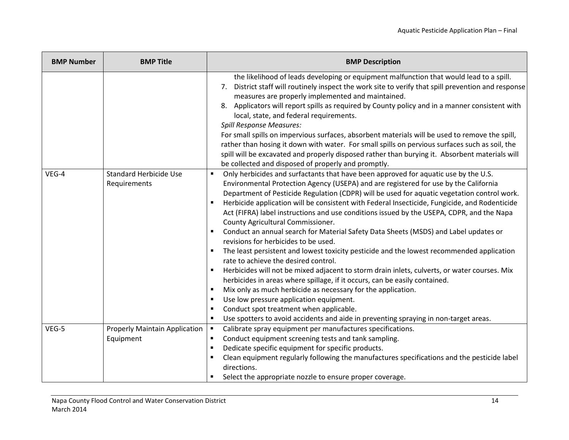| <b>BMP Number</b> | <b>BMP Title</b>                              | <b>BMP Description</b>                                                                                                                                                                                                                                                                                                                                                                                                                                                                                                                                                                                                                                                                                                                                                                                                                                                                                                                                                                                                                                                                                                                                                                                                                                    |  |  |
|-------------------|-----------------------------------------------|-----------------------------------------------------------------------------------------------------------------------------------------------------------------------------------------------------------------------------------------------------------------------------------------------------------------------------------------------------------------------------------------------------------------------------------------------------------------------------------------------------------------------------------------------------------------------------------------------------------------------------------------------------------------------------------------------------------------------------------------------------------------------------------------------------------------------------------------------------------------------------------------------------------------------------------------------------------------------------------------------------------------------------------------------------------------------------------------------------------------------------------------------------------------------------------------------------------------------------------------------------------|--|--|
|                   |                                               | the likelihood of leads developing or equipment malfunction that would lead to a spill.<br>District staff will routinely inspect the work site to verify that spill prevention and response<br>7.<br>measures are properly implemented and maintained.<br>8. Applicators will report spills as required by County policy and in a manner consistent with<br>local, state, and federal requirements.<br><b>Spill Response Measures:</b><br>For small spills on impervious surfaces, absorbent materials will be used to remove the spill,<br>rather than hosing it down with water. For small spills on pervious surfaces such as soil, the<br>spill will be excavated and properly disposed rather than burying it. Absorbent materials will<br>be collected and disposed of properly and promptly.                                                                                                                                                                                                                                                                                                                                                                                                                                                       |  |  |
| VEG-4             | <b>Standard Herbicide Use</b><br>Requirements | Only herbicides and surfactants that have been approved for aquatic use by the U.S.<br>٠<br>Environmental Protection Agency (USEPA) and are registered for use by the California<br>Department of Pesticide Regulation (CDPR) will be used for aquatic vegetation control work.<br>Herbicide application will be consistent with Federal Insecticide, Fungicide, and Rodenticide<br>Act (FIFRA) label instructions and use conditions issued by the USEPA, CDPR, and the Napa<br>County Agricultural Commissioner.<br>Conduct an annual search for Material Safety Data Sheets (MSDS) and Label updates or<br>revisions for herbicides to be used.<br>The least persistent and lowest toxicity pesticide and the lowest recommended application<br>rate to achieve the desired control.<br>Herbicides will not be mixed adjacent to storm drain inlets, culverts, or water courses. Mix<br>٠<br>herbicides in areas where spillage, if it occurs, can be easily contained.<br>Mix only as much herbicide as necessary for the application.<br>п<br>Use low pressure application equipment.<br>٠<br>Conduct spot treatment when applicable.<br>٠<br>Use spotters to avoid accidents and aide in preventing spraying in non-target areas.<br>$\blacksquare$ |  |  |
| VEG-5             | Properly Maintain Application<br>Equipment    | Calibrate spray equipment per manufactures specifications.<br>$\blacksquare$<br>Conduct equipment screening tests and tank sampling.<br>$\blacksquare$<br>Dedicate specific equipment for specific products.<br>٠<br>Clean equipment regularly following the manufactures specifications and the pesticide label<br>directions.<br>Select the appropriate nozzle to ensure proper coverage.                                                                                                                                                                                                                                                                                                                                                                                                                                                                                                                                                                                                                                                                                                                                                                                                                                                               |  |  |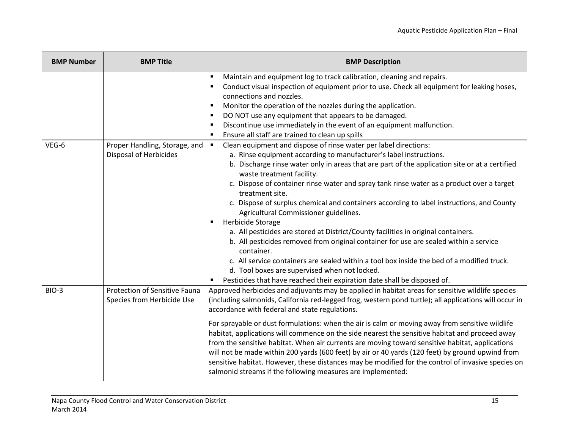| <b>BMP Number</b> | <b>BMP Title</b>                                               | <b>BMP Description</b>                                                                                                                                                                                                                                                                                                                                                                                                                                                                                                                                                                                                                                                                                                                                                                                                                                                                                                                                                                     |  |  |
|-------------------|----------------------------------------------------------------|--------------------------------------------------------------------------------------------------------------------------------------------------------------------------------------------------------------------------------------------------------------------------------------------------------------------------------------------------------------------------------------------------------------------------------------------------------------------------------------------------------------------------------------------------------------------------------------------------------------------------------------------------------------------------------------------------------------------------------------------------------------------------------------------------------------------------------------------------------------------------------------------------------------------------------------------------------------------------------------------|--|--|
|                   |                                                                | Maintain and equipment log to track calibration, cleaning and repairs.<br>٠<br>Conduct visual inspection of equipment prior to use. Check all equipment for leaking hoses,<br>٠<br>connections and nozzles.<br>Monitor the operation of the nozzles during the application.<br>٠<br>DO NOT use any equipment that appears to be damaged.<br>$\blacksquare$<br>Discontinue use immediately in the event of an equipment malfunction.<br>$\blacksquare$<br>Ensure all staff are trained to clean up spills<br>٠                                                                                                                                                                                                                                                                                                                                                                                                                                                                              |  |  |
| VEG-6             | Proper Handling, Storage, and<br><b>Disposal of Herbicides</b> | Clean equipment and dispose of rinse water per label directions:<br>$\blacksquare$<br>a. Rinse equipment according to manufacturer's label instructions.<br>b. Discharge rinse water only in areas that are part of the application site or at a certified<br>waste treatment facility.<br>c. Dispose of container rinse water and spray tank rinse water as a product over a target<br>treatment site.<br>c. Dispose of surplus chemical and containers according to label instructions, and County<br>Agricultural Commissioner guidelines.<br>Herbicide Storage<br>a. All pesticides are stored at District/County facilities in original containers.<br>b. All pesticides removed from original container for use are sealed within a service<br>container.<br>c. All service containers are sealed within a tool box inside the bed of a modified truck.<br>d. Tool boxes are supervised when not locked.<br>Pesticides that have reached their expiration date shall be disposed of. |  |  |
| BIO-3             | Protection of Sensitive Fauna<br>Species from Herbicide Use    | Approved herbicides and adjuvants may be applied in habitat areas for sensitive wildlife species<br>(including salmonids, California red-legged frog, western pond turtle); all applications will occur in<br>accordance with federal and state regulations.<br>For sprayable or dust formulations: when the air is calm or moving away from sensitive wildlife<br>habitat, applications will commence on the side nearest the sensitive habitat and proceed away<br>from the sensitive habitat. When air currents are moving toward sensitive habitat, applications<br>will not be made within 200 yards (600 feet) by air or 40 yards (120 feet) by ground upwind from<br>sensitive habitat. However, these distances may be modified for the control of invasive species on<br>salmonid streams if the following measures are implemented:                                                                                                                                              |  |  |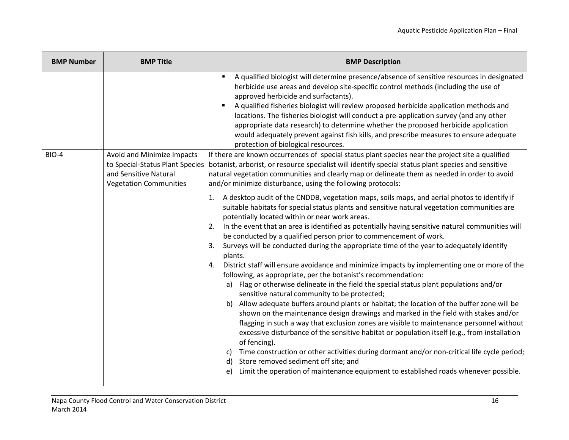| <b>BMP Number</b> | <b>BMP Title</b>                                                                                                        | <b>BMP Description</b>                                                                                                                                                                                                                                                                                                                                                                                                                                                                                                                                                                                                                                                                                                                                                                                                                                                                                                                                                                                                                                                                                                                                                                                                                                                                                                                                                                                                                                                                                                  |  |  |
|-------------------|-------------------------------------------------------------------------------------------------------------------------|-------------------------------------------------------------------------------------------------------------------------------------------------------------------------------------------------------------------------------------------------------------------------------------------------------------------------------------------------------------------------------------------------------------------------------------------------------------------------------------------------------------------------------------------------------------------------------------------------------------------------------------------------------------------------------------------------------------------------------------------------------------------------------------------------------------------------------------------------------------------------------------------------------------------------------------------------------------------------------------------------------------------------------------------------------------------------------------------------------------------------------------------------------------------------------------------------------------------------------------------------------------------------------------------------------------------------------------------------------------------------------------------------------------------------------------------------------------------------------------------------------------------------|--|--|
|                   |                                                                                                                         | A qualified biologist will determine presence/absence of sensitive resources in designated<br>herbicide use areas and develop site-specific control methods (including the use of<br>approved herbicide and surfactants).<br>A qualified fisheries biologist will review proposed herbicide application methods and<br>locations. The fisheries biologist will conduct a pre-application survey (and any other<br>appropriate data research) to determine whether the proposed herbicide application<br>would adequately prevent against fish kills, and prescribe measures to ensure adequate<br>protection of biological resources.                                                                                                                                                                                                                                                                                                                                                                                                                                                                                                                                                                                                                                                                                                                                                                                                                                                                                   |  |  |
| BIO-4             | Avoid and Minimize Impacts<br>to Special-Status Plant Species<br>and Sensitive Natural<br><b>Vegetation Communities</b> | If there are known occurrences of special status plant species near the project site a qualified<br>botanist, arborist, or resource specialist will identify special status plant species and sensitive<br>natural vegetation communities and clearly map or delineate them as needed in order to avoid<br>and/or minimize disturbance, using the following protocols:                                                                                                                                                                                                                                                                                                                                                                                                                                                                                                                                                                                                                                                                                                                                                                                                                                                                                                                                                                                                                                                                                                                                                  |  |  |
|                   |                                                                                                                         | A desktop audit of the CNDDB, vegetation maps, soils maps, and aerial photos to identify if<br>1.<br>suitable habitats for special status plants and sensitive natural vegetation communities are<br>potentially located within or near work areas.<br>In the event that an area is identified as potentially having sensitive natural communities will<br>2.<br>be conducted by a qualified person prior to commencement of work.<br>Surveys will be conducted during the appropriate time of the year to adequately identify<br>3.<br>plants.<br>District staff will ensure avoidance and minimize impacts by implementing one or more of the<br>4.<br>following, as appropriate, per the botanist's recommendation:<br>Flag or otherwise delineate in the field the special status plant populations and/or<br>a)<br>sensitive natural community to be protected;<br>b) Allow adequate buffers around plants or habitat; the location of the buffer zone will be<br>shown on the maintenance design drawings and marked in the field with stakes and/or<br>flagging in such a way that exclusion zones are visible to maintenance personnel without<br>excessive disturbance of the sensitive habitat or population itself (e.g., from installation<br>of fencing).<br>Time construction or other activities during dormant and/or non-critical life cycle period;<br>C)<br>Store removed sediment off site; and<br>d)<br>Limit the operation of maintenance equipment to established roads whenever possible.<br>e) |  |  |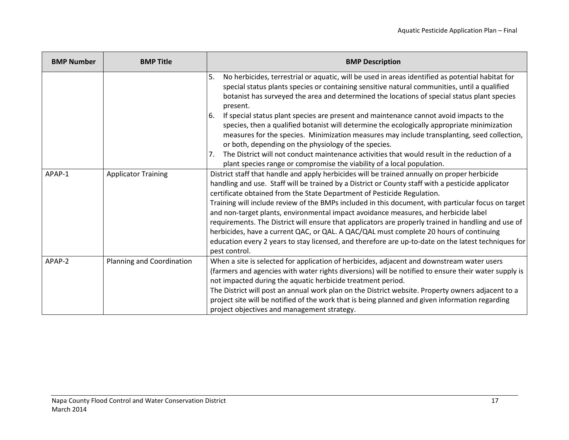| <b>BMP Number</b> | <b>BMP Title</b>           | <b>BMP Description</b>                                                                                                                                                                                                                                                                                                                                                                                                                                                                                                                                                                                                                                                                                                                                                                              |  |  |  |
|-------------------|----------------------------|-----------------------------------------------------------------------------------------------------------------------------------------------------------------------------------------------------------------------------------------------------------------------------------------------------------------------------------------------------------------------------------------------------------------------------------------------------------------------------------------------------------------------------------------------------------------------------------------------------------------------------------------------------------------------------------------------------------------------------------------------------------------------------------------------------|--|--|--|
|                   |                            | No herbicides, terrestrial or aquatic, will be used in areas identified as potential habitat for<br>5.<br>special status plants species or containing sensitive natural communities, until a qualified<br>botanist has surveyed the area and determined the locations of special status plant species<br>present.<br>If special status plant species are present and maintenance cannot avoid impacts to the<br>6.<br>species, then a qualified botanist will determine the ecologically appropriate minimization<br>measures for the species. Minimization measures may include transplanting, seed collection,<br>or both, depending on the physiology of the species.                                                                                                                            |  |  |  |
|                   |                            | The District will not conduct maintenance activities that would result in the reduction of a<br>7.<br>plant species range or compromise the viability of a local population.                                                                                                                                                                                                                                                                                                                                                                                                                                                                                                                                                                                                                        |  |  |  |
| APAP-1            | <b>Applicator Training</b> | District staff that handle and apply herbicides will be trained annually on proper herbicide<br>handling and use. Staff will be trained by a District or County staff with a pesticide applicator<br>certificate obtained from the State Department of Pesticide Regulation.<br>Training will include review of the BMPs included in this document, with particular focus on target<br>and non-target plants, environmental impact avoidance measures, and herbicide label<br>requirements. The District will ensure that applicators are properly trained in handling and use of<br>herbicides, have a current QAC, or QAL. A QAC/QAL must complete 20 hours of continuing<br>education every 2 years to stay licensed, and therefore are up-to-date on the latest techniques for<br>pest control. |  |  |  |
| APAP-2            | Planning and Coordination  | When a site is selected for application of herbicides, adjacent and downstream water users<br>(farmers and agencies with water rights diversions) will be notified to ensure their water supply is<br>not impacted during the aquatic herbicide treatment period.<br>The District will post an annual work plan on the District website. Property owners adjacent to a<br>project site will be notified of the work that is being planned and given information regarding<br>project objectives and management strategy.                                                                                                                                                                                                                                                                            |  |  |  |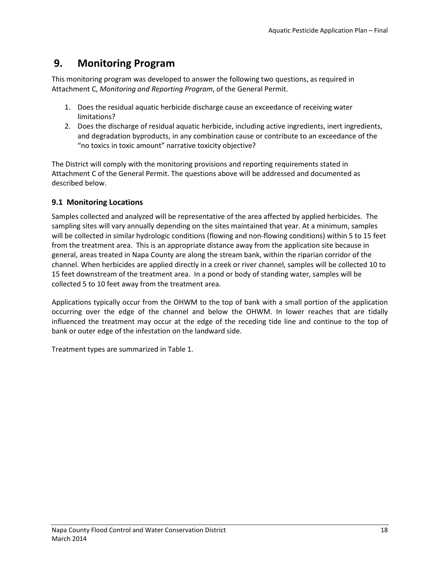### <span id="page-22-0"></span>**9. Monitoring Program**

This monitoring program was developed to answer the following two questions, as required in Attachment C, *Monitoring and Reporting Program*, of the General Permit.

- 1. Does the residual aquatic herbicide discharge cause an exceedance of receiving water limitations?
- 2. Does the discharge of residual aquatic herbicide, including active ingredients, inert ingredients, and degradation byproducts, in any combination cause or contribute to an exceedance of the "no toxics in toxic amount" narrative toxicity objective?

The District will comply with the monitoring provisions and reporting requirements stated in Attachment C of the General Permit. The questions above will be addressed and documented as described below.

#### <span id="page-22-1"></span>**9.1 Monitoring Locations**

Samples collected and analyzed will be representative of the area affected by applied herbicides. The sampling sites will vary annually depending on the sites maintained that year. At a minimum, samples will be collected in similar hydrologic conditions (flowing and non-flowing conditions) within 5 to 15 feet from the treatment area. This is an appropriate distance away from the application site because in general, areas treated in Napa County are along the stream bank, within the riparian corridor of the channel. When herbicides are applied directly in a creek or river channel, samples will be collected 10 to 15 feet downstream of the treatment area. In a pond or body of standing water, samples will be collected 5 to 10 feet away from the treatment area.

Applications typically occur from the OHWM to the top of bank with a small portion of the application occurring over the edge of the channel and below the OHWM. In lower reaches that are tidally influenced the treatment may occur at the edge of the receding tide line and continue to the top of bank or outer edge of the infestation on the landward side.

Treatment types are summarized in Table 1.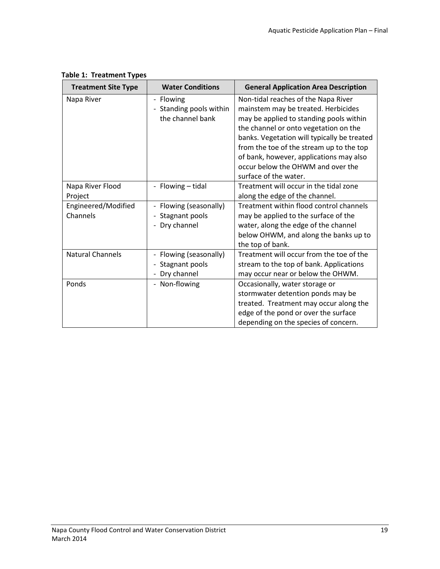<span id="page-23-0"></span>

| <b>Treatment Site Type</b>      | <b>Water Conditions</b>                                                           | <b>General Application Area Description</b>                                                                                                                                                                                                                                                                                                                        |
|---------------------------------|-----------------------------------------------------------------------------------|--------------------------------------------------------------------------------------------------------------------------------------------------------------------------------------------------------------------------------------------------------------------------------------------------------------------------------------------------------------------|
| Napa River                      | - Flowing<br>- Standing pools within<br>the channel bank                          | Non-tidal reaches of the Napa River<br>mainstem may be treated. Herbicides<br>may be applied to standing pools within<br>the channel or onto vegetation on the<br>banks. Vegetation will typically be treated<br>from the toe of the stream up to the top<br>of bank, however, applications may also<br>occur below the OHWM and over the<br>surface of the water. |
| Napa River Flood                | - Flowing - tidal                                                                 | Treatment will occur in the tidal zone                                                                                                                                                                                                                                                                                                                             |
| Project                         |                                                                                   | along the edge of the channel.                                                                                                                                                                                                                                                                                                                                     |
| Engineered/Modified<br>Channels | Flowing (seasonally)<br>Stagnant pools<br>Dry channel                             | Treatment within flood control channels<br>may be applied to the surface of the<br>water, along the edge of the channel<br>below OHWM, and along the banks up to<br>the top of bank.                                                                                                                                                                               |
| Natural Channels                | Flowing (seasonally)<br>Stagnant pools<br>$\overline{\phantom{0}}$<br>Dry channel | Treatment will occur from the toe of the<br>stream to the top of bank. Applications<br>may occur near or below the OHWM.                                                                                                                                                                                                                                           |
| Ponds                           | - Non-flowing                                                                     | Occasionally, water storage or<br>stormwater detention ponds may be<br>treated. Treatment may occur along the<br>edge of the pond or over the surface<br>depending on the species of concern.                                                                                                                                                                      |

#### **Table 1: Treatment Types**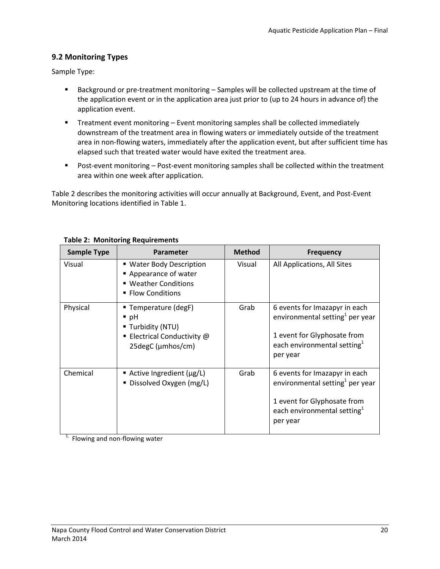#### **9.2 Monitoring Types**

Sample Type:

- **Background or pre-treatment monitoring Samples will be collected upstream at the time of** the application event or in the application area just prior to (up to 24 hours in advance of) the application event.
- Treatment event monitoring Event monitoring samples shall be collected immediately downstream of the treatment area in flowing waters or immediately outside of the treatment area in non-flowing waters, immediately after the application event, but after sufficient time has elapsed such that treated water would have exited the treatment area.
- **Post-event monitoring Post-event monitoring samples shall be collected within the treatment** area within one week after application.

Table 2 describes the monitoring activities will occur annually at Background, Event, and Post-Event Monitoring locations identified in Table 1.

| <b>Sample Type</b> | <b>Parameter</b>                                                                                                   | <b>Method</b> | <b>Frequency</b>                                                                                                                                                   |
|--------------------|--------------------------------------------------------------------------------------------------------------------|---------------|--------------------------------------------------------------------------------------------------------------------------------------------------------------------|
| Visual             | ■ Water Body Description<br>Appearance of water<br>■ Weather Conditions<br>■ Flow Conditions                       | Visual        | All Applications, All Sites                                                                                                                                        |
| Physical           | ■ Temperature (degF)<br>$\blacksquare$ pH<br>■ Turbidity (NTU)<br>■ Electrical Conductivity @<br>25degC (µmhos/cm) | Grab          | 6 events for Imazapyr in each<br>environmental setting <sup>1</sup> per year<br>1 event for Glyphosate from<br>each environmental setting <sup>1</sup><br>per year |
| Chemical           | Active Ingredient ( $\mu$ g/L)<br>Dissolved Oxygen (mg/L)                                                          | Grab          | 6 events for Imazapyr in each<br>environmental setting <sup>1</sup> per year<br>1 event for Glyphosate from<br>each environmental setting <sup>1</sup><br>per year |

#### **Table 2: Monitoring Requirements**

<span id="page-24-0"></span> $1.$  Flowing and non-flowing water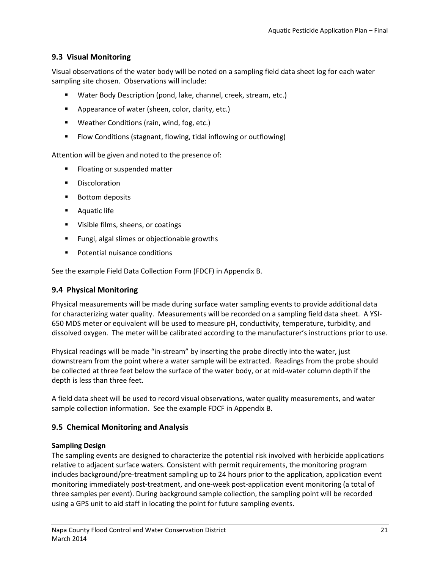#### **9.3 Visual Monitoring**

Visual observations of the water body will be noted on a sampling field data sheet log for each water sampling site chosen. Observations will include:

- Water Body Description (pond, lake, channel, creek, stream, etc.)
- **Appearance of water (sheen, color, clarity, etc.)**
- **Weather Conditions (rain, wind, fog, etc.)**
- **Filow Conditions (stagnant, flowing, tidal inflowing or outflowing)**

Attention will be given and noted to the presence of:

- **Floating or suspended matter**
- **Discoloration**
- **Bottom deposits**
- **Aquatic life**
- **Visible films, sheens, or coatings**
- **Fungi, algal slimes or objectionable growths**
- **Potential nuisance conditions**

See the example Field Data Collection Form (FDCF) in Appendix B.

#### <span id="page-25-0"></span>**9.4 Physical Monitoring**

Physical measurements will be made during surface water sampling events to provide additional data for characterizing water quality. Measurements will be recorded on a sampling field data sheet. A YSI-650 MDS meter or equivalent will be used to measure pH, conductivity, temperature, turbidity, and dissolved oxygen. The meter will be calibrated according to the manufacturer's instructions prior to use.

Physical readings will be made "in-stream" by inserting the probe directly into the water, just downstream from the point where a water sample will be extracted. Readings from the probe should be collected at three feet below the surface of the water body, or at mid-water column depth if the depth is less than three feet.

A field data sheet will be used to record visual observations, water quality measurements, and water sample collection information. See the example FDCF in Appendix B.

#### <span id="page-25-1"></span>**9.5 Chemical Monitoring and Analysis**

#### **Sampling Design**

The sampling events are designed to characterize the potential risk involved with herbicide applications relative to adjacent surface waters. Consistent with permit requirements, the monitoring program includes background/pre-treatment sampling up to 24 hours prior to the application, application event monitoring immediately post-treatment, and one-week post-application event monitoring (a total of three samples per event). During background sample collection, the sampling point will be recorded using a GPS unit to aid staff in locating the point for future sampling events.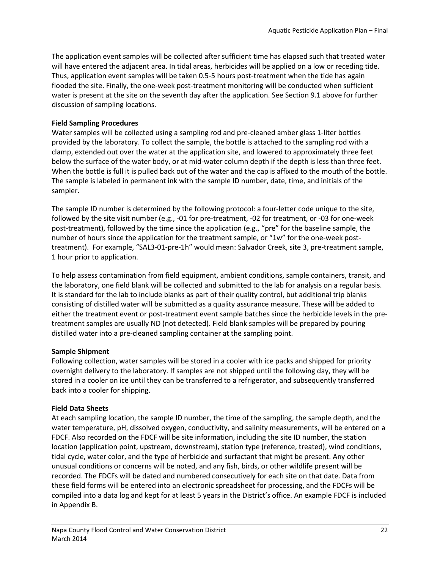The application event samples will be collected after sufficient time has elapsed such that treated water will have entered the adjacent area. In tidal areas, herbicides will be applied on a low or receding tide. Thus, application event samples will be taken 0.5-5 hours post-treatment when the tide has again flooded the site. Finally, the one-week post-treatment monitoring will be conducted when sufficient water is present at the site on the seventh day after the application. See Section 9.1 above for further discussion of sampling locations.

#### **Field Sampling Procedures**

Water samples will be collected using a sampling rod and pre-cleaned amber glass 1-liter bottles provided by the laboratory. To collect the sample, the bottle is attached to the sampling rod with a clamp, extended out over the water at the application site, and lowered to approximately three feet below the surface of the water body, or at mid-water column depth if the depth is less than three feet. When the bottle is full it is pulled back out of the water and the cap is affixed to the mouth of the bottle. The sample is labeled in permanent ink with the sample ID number, date, time, and initials of the sampler.

The sample ID number is determined by the following protocol: a four-letter code unique to the site, followed by the site visit number (e.g., -01 for pre-treatment, -02 for treatment, or -03 for one-week post-treatment), followed by the time since the application (e.g., "pre" for the baseline sample, the number of hours since the application for the treatment sample, or "1w" for the one-week posttreatment). For example, "SAL3-01-pre-1h" would mean: Salvador Creek, site 3, pre-treatment sample, 1 hour prior to application.

To help assess contamination from field equipment, ambient conditions, sample containers, transit, and the laboratory, one field blank will be collected and submitted to the lab for analysis on a regular basis. It is standard for the lab to include blanks as part of their quality control, but additional trip blanks consisting of distilled water will be submitted as a quality assurance measure. These will be added to either the treatment event or post-treatment event sample batches since the herbicide levels in the pretreatment samples are usually ND (not detected). Field blank samples will be prepared by pouring distilled water into a pre-cleaned sampling container at the sampling point.

#### **Sample Shipment**

Following collection, water samples will be stored in a cooler with ice packs and shipped for priority overnight delivery to the laboratory. If samples are not shipped until the following day, they will be stored in a cooler on ice until they can be transferred to a refrigerator, and subsequently transferred back into a cooler for shipping.

#### **Field Data Sheets**

At each sampling location, the sample ID number, the time of the sampling, the sample depth, and the water temperature, pH, dissolved oxygen, conductivity, and salinity measurements, will be entered on a FDCF. Also recorded on the FDCF will be site information, including the site ID number, the station location (application point, upstream, downstream), station type (reference, treated), wind conditions, tidal cycle, water color, and the type of herbicide and surfactant that might be present. Any other unusual conditions or concerns will be noted, and any fish, birds, or other wildlife present will be recorded. The FDCFs will be dated and numbered consecutively for each site on that date. Data from these field forms will be entered into an electronic spreadsheet for processing, and the FDCFs will be compiled into a data log and kept for at least 5 years in the District's office. An example FDCF is included in Appendix B.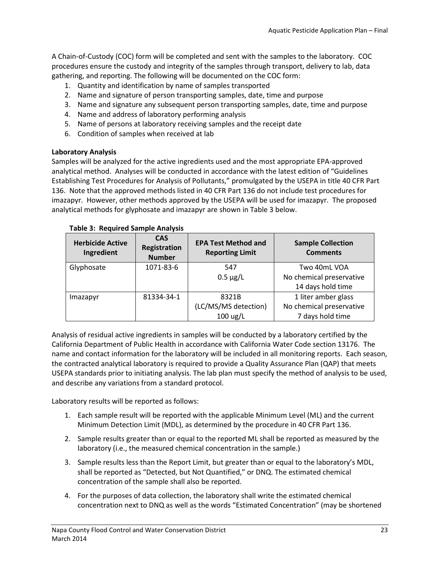A Chain-of-Custody (COC) form will be completed and sent with the samples to the laboratory. COC procedures ensure the custody and integrity of the samples through transport, delivery to lab, data gathering, and reporting. The following will be documented on the COC form:

- 1. Quantity and identification by name of samples transported
- 2. Name and signature of person transporting samples, date, time and purpose
- 3. Name and signature any subsequent person transporting samples, date, time and purpose
- 4. Name and address of laboratory performing analysis
- 5. Name of persons at laboratory receiving samples and the receipt date
- 6. Condition of samples when received at lab

#### **Laboratory Analysis**

Samples will be analyzed for the active ingredients used and the most appropriate EPA-approved analytical method. Analyses will be conducted in accordance with the latest edition of "Guidelines Establishing Test Procedures for Analysis of Pollutants," promulgated by the USEPA in title 40 CFR Part 136. Note that the approved methods listed in 40 CFR Part 136 do not include test procedures for imazapyr. However, other methods approved by the USEPA will be used for imazapyr. The proposed analytical methods for glyphosate and imazapyr are shown in Table 3 below.

| <b>Herbicide Active</b><br>Ingredient | <b>CAS</b><br>Registration<br><b>Number</b> | <b>EPA Test Method and</b><br><b>Reporting Limit</b> | <b>Sample Collection</b><br><b>Comments</b> |
|---------------------------------------|---------------------------------------------|------------------------------------------------------|---------------------------------------------|
| Glyphosate                            | 1071-83-6                                   | 547                                                  | Two 40mL VOA                                |
|                                       |                                             | $0.5 \mu g/L$                                        | No chemical preservative                    |
|                                       |                                             |                                                      | 14 days hold time                           |
| Imazapyr                              | 81334-34-1                                  | 8321B                                                | 1 liter amber glass                         |
|                                       |                                             | (LC/MS/MS detection)                                 | No chemical preservative                    |
|                                       |                                             | $100 \text{ ug/L}$                                   | 7 days hold time                            |

#### **Table 3: Required Sample Analysis**

Analysis of residual active ingredients in samples will be conducted by a laboratory certified by the California Department of Public Health in accordance with California Water Code section 13176. The name and contact information for the laboratory will be included in all monitoring reports. Each season, the contracted analytical laboratory is required to provide a Quality Assurance Plan (QAP) that meets USEPA standards prior to initiating analysis. The lab plan must specify the method of analysis to be used, and describe any variations from a standard protocol.

Laboratory results will be reported as follows:

- 1. Each sample result will be reported with the applicable Minimum Level (ML) and the current Minimum Detection Limit (MDL), as determined by the procedure in 40 CFR Part 136.
- 2. Sample results greater than or equal to the reported ML shall be reported as measured by the laboratory (i.e., the measured chemical concentration in the sample.)
- 3. Sample results less than the Report Limit, but greater than or equal to the laboratory's MDL, shall be reported as "Detected, but Not Quantified," or DNQ. The estimated chemical concentration of the sample shall also be reported.
- 4. For the purposes of data collection, the laboratory shall write the estimated chemical concentration next to DNQ as well as the words "Estimated Concentration" (may be shortened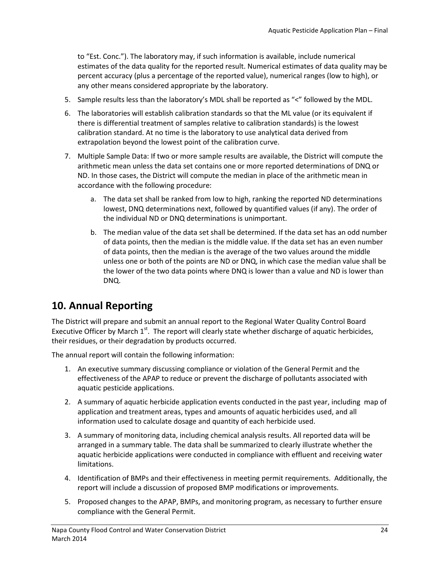to "Est. Conc."). The laboratory may, if such information is available, include numerical estimates of the data quality for the reported result. Numerical estimates of data quality may be percent accuracy (plus a percentage of the reported value), numerical ranges (low to high), or any other means considered appropriate by the laboratory.

- 5. Sample results less than the laboratory's MDL shall be reported as "<" followed by the MDL.
- 6. The laboratories will establish calibration standards so that the ML value (or its equivalent if there is differential treatment of samples relative to calibration standards) is the lowest calibration standard. At no time is the laboratory to use analytical data derived from extrapolation beyond the lowest point of the calibration curve.
- 7. Multiple Sample Data: If two or more sample results are available, the District will compute the arithmetic mean unless the data set contains one or more reported determinations of DNQ or ND. In those cases, the District will compute the median in place of the arithmetic mean in accordance with the following procedure:
	- a. The data set shall be ranked from low to high, ranking the reported ND determinations lowest, DNQ determinations next, followed by quantified values (if any). The order of the individual ND or DNQ determinations is unimportant.
	- b. The median value of the data set shall be determined. If the data set has an odd number of data points, then the median is the middle value. If the data set has an even number of data points, then the median is the average of the two values around the middle unless one or both of the points are ND or DNQ, in which case the median value shall be the lower of the two data points where DNQ is lower than a value and ND is lower than DNQ.

## <span id="page-28-0"></span>**10. Annual Reporting**

The District will prepare and submit an annual report to the Regional Water Quality Control Board Executive Officer by March  $1<sup>st</sup>$ . The report will clearly state whether discharge of aquatic herbicides, their residues, or their degradation by products occurred.

The annual report will contain the following information:

- 1. An executive summary discussing compliance or violation of the General Permit and the effectiveness of the APAP to reduce or prevent the discharge of pollutants associated with aquatic pesticide applications.
- 2. A summary of aquatic herbicide application events conducted in the past year, including map of application and treatment areas, types and amounts of aquatic herbicides used, and all information used to calculate dosage and quantity of each herbicide used.
- 3. A summary of monitoring data, including chemical analysis results. All reported data will be arranged in a summary table. The data shall be summarized to clearly illustrate whether the aquatic herbicide applications were conducted in compliance with effluent and receiving water limitations.
- 4. Identification of BMPs and their effectiveness in meeting permit requirements. Additionally, the report will include a discussion of proposed BMP modifications or improvements.
- 5. Proposed changes to the APAP, BMPs, and monitoring program, as necessary to further ensure compliance with the General Permit.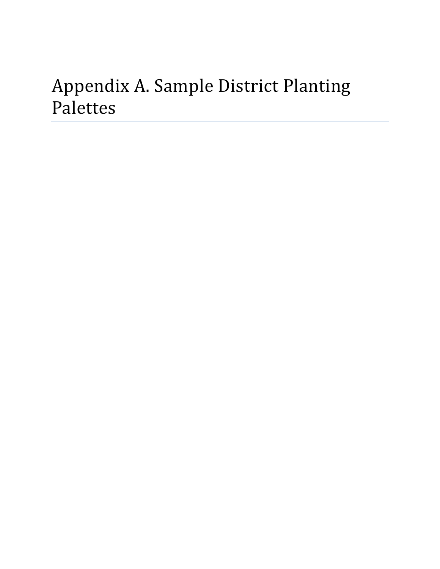# Appendix A. Sample District Planting Palettes